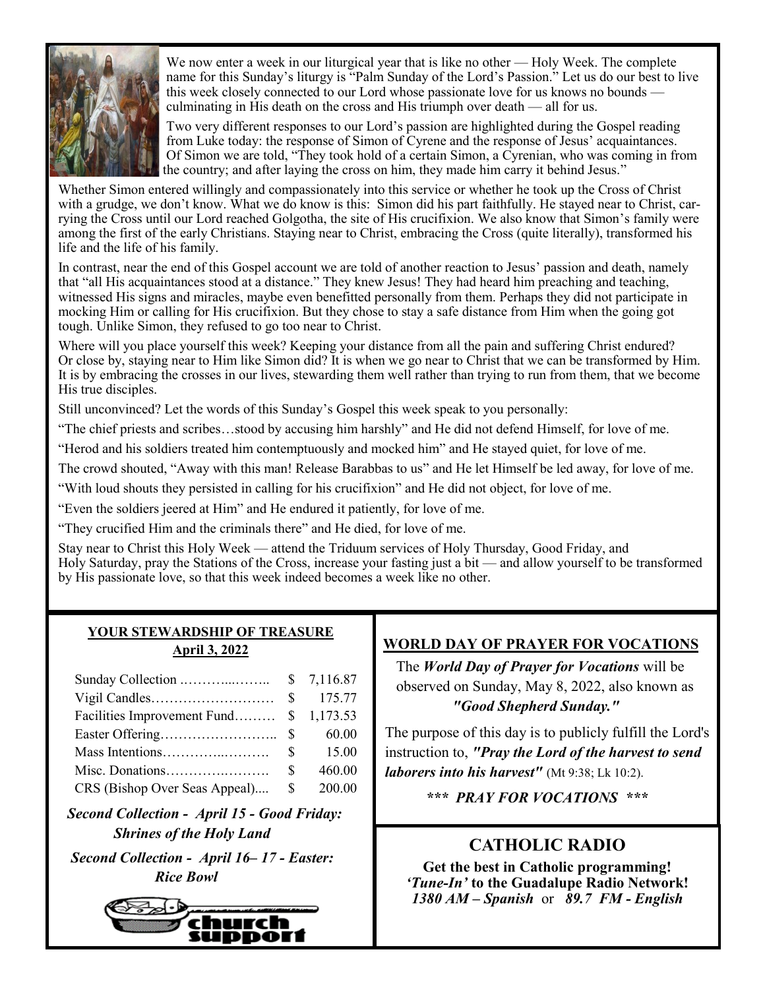

We now enter a week in our liturgical year that is like no other — Holy Week. The complete name for this Sunday's liturgy is "Palm Sunday of the Lord's Passion." Let us do our best to live this week closely connected to our Lord whose passionate love for us knows no bounds culminating in His death on the cross and His triumph over death — all for us.

Two very different responses to our Lord's passion are highlighted during the Gospel reading from Luke today: the response of Simon of Cyrene and the response of Jesus' acquaintances. Of Simon we are told, "They took hold of a certain Simon, a Cyrenian, who was coming in from the country; and after laying the cross on him, they made him carry it behind Jesus."

Whether Simon entered willingly and compassionately into this service or whether he took up the Cross of Christ with a grudge, we don't know. What we do know is this: Simon did his part faithfully. He stayed near to Christ, carrying the Cross until our Lord reached Golgotha, the site of His crucifixion. We also know that Simon's family were among the first of the early Christians. Staying near to Christ, embracing the Cross (quite literally), transformed his life and the life of his family.

In contrast, near the end of this Gospel account we are told of another reaction to Jesus' passion and death, namely that "all His acquaintances stood at a distance." They knew Jesus! They had heard him preaching and teaching, witnessed His signs and miracles, maybe even benefitted personally from them. Perhaps they did not participate in mocking Him or calling for His crucifixion. But they chose to stay a safe distance from Him when the going got tough. Unlike Simon, they refused to go too near to Christ.

Where will you place yourself this week? Keeping your distance from all the pain and suffering Christ endured? Or close by, staying near to Him like Simon did? It is when we go near to Christ that we can be transformed by Him. It is by embracing the crosses in our lives, stewarding them well rather than trying to run from them, that we become His true disciples.

Still unconvinced? Let the words of this Sunday's Gospel this week speak to you personally:

"The chief priests and scribes…stood by accusing him harshly" and He did not defend Himself, for love of me.

"Herod and his soldiers treated him contemptuously and mocked him" and He stayed quiet, for love of me.

The crowd shouted, "Away with this man! Release Barabbas to us" and He let Himself be led away, for love of me.

"With loud shouts they persisted in calling for his crucifixion" and He did not object, for love of me.

"Even the soldiers jeered at Him" and He endured it patiently, for love of me.

"They crucified Him and the criminals there" and He died, for love of me.

Stay near to Christ this Holy Week — attend the Triduum services of Holy Thursday, Good Friday, and Holy Saturday, pray the Stations of the Cross, increase your fasting just a bit — and allow yourself to be transformed by His passionate love, so that this week indeed becomes a week like no other.

### **YOUR STEWARDSHIP OF TREASURE April 3, 2022**

| Facilities Improvement Fund \$ 1,173.53 |        |
|-----------------------------------------|--------|
|                                         | 60.00  |
|                                         |        |
|                                         | 460.00 |
| CRS (Bishop Over Seas Appeal) \$        | 200.00 |

 *Second Collection - April 15 - Good Friday: Shrines of the Holy Land*

 *Second Collection - April 16– 17 - Easter: Rice Bowl*



# **WORLD DAY OF PRAYER FOR VOCATIONS**

 The *World Day of Prayer for Vocations* will be observed on Sunday, May 8, 2022, also known as *"Good Shepherd Sunday."* 

The purpose of this day is to publicly fulfill the Lord's instruction to, *"Pray the Lord of the harvest to send laborers into his harvest"* (Mt 9:38; Lk 10:2).

*\*\*\* PRAY FOR VOCATIONS \*\*\**

# **CATHOLIC RADIO**

**Get the best in Catholic programming!**  *'Tune-In'* **to the Guadalupe Radio Network!** *1380 AM – Spanish* or *89.7 FM - English*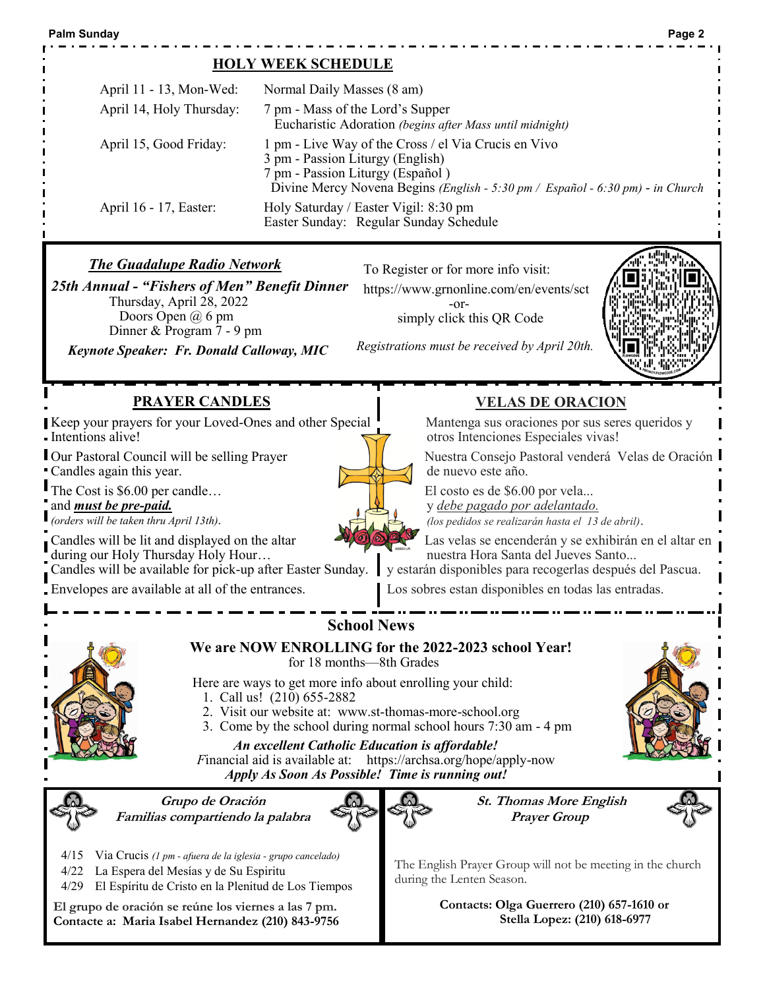### **HOLY WEEK SCHEDULE**

| April 11 - 13, Mon-Wed:<br>April 14, Holy Thursday: | Normal Daily Masses (8 am)<br>7 pm - Mass of the Lord's Supper<br>Eucharistic Adoration (begins after Mass until midnight)                                                                                     |
|-----------------------------------------------------|----------------------------------------------------------------------------------------------------------------------------------------------------------------------------------------------------------------|
| April 15, Good Friday:                              | 1 pm - Live Way of the Cross / el Via Crucis en Vivo<br>3 pm - Passion Liturgy (English)<br>7 pm - Passion Liturgy (Español)<br>Divine Mercy Novena Begins (English - 5:30 pm / Español - 6:30 pm) - in Church |
| April 16 - 17, Easter:                              | Holy Saturday / Easter Vigil: 8:30 pm<br>Easter Sunday: Regular Sunday Schedule                                                                                                                                |

### *The Guadalupe Radio Network*

*25th Annual - "Fishers of Men" Benefit Dinner* Thursday, April 28, 2022 Doors Open @ 6 pm Dinner & Program 7 - 9 pm

*Keynote Speaker: Fr. Donald Calloway, MIC*

To Register or for more info visit:

 https://www.grnonline.com/en/events/sct -or-

simply click this QR Code



### **PRAYER CANDLES**

Keep your prayers for your Loved-Ones and other Special Intentions alive!

Our Pastoral Council will be selling Prayer Candles again this year.

The Cost is \$6.00 per candle...

and *must be pre-paid.*

*(orders will be taken thru April 13th).* 

Candles will be lit and displayed on the altar

during our Holy Thursday Holy Hour…

Candles will be available for pick-up after Easter Sunday.

Envelopes are available at all of the entrances.

**VELAS DE ORACION**

Mantenga sus oraciones por sus seres queridos y otros Intenciones Especiales vivas!

Nuestra Consejo Pastoral venderá Velas de Oración de nuevo este año.

El costo es de \$6.00 por vela...

y *debe pagado por adelantado. (los pedidos se realizarán hasta el 13 de abril)*.

Las velas se encenderán y se exhibirán en el altar en nuestra Hora Santa del Jueves Santo...

y estarán disponibles para recogerlas después del Pascua.

Los sobres estan disponibles en todas las entradas.



# **School News**

 **We are NOW ENROLLING for the 2022-2023 school Year!**  for 18 months—8th Grades

Here are ways to get more info about enrolling your child:

- 1. Call us! (210) 655-2882
- 2. Visit our website at: www.st-thomas-more-school.org
- 3. Come by the school during normal school hours 7:30 am 4 pm



*An excellent Catholic Education is affordable! F*inancial aid is available at: https://archsa.org/hope/apply-now *Apply As Soon As Possible! Time is running out!*



**Grupo de Oración Familias compartiendo la palabra**



**St. Thomas More English Prayer Group**



The English Prayer Group will not be meeting in the church during the Lenten Season.

**El grupo de oración se reúne los viernes a las 7 pm. Contacte a: Maria Isabel Hernandez (210) 843-9756**

4/15 Via Crucis *(1 pm - afuera de la iglesia - grupo cancelado)*

4/29 El Espíritu de Cristo en la Plenitud de Los Tiempos

4/22 La Espera del Mesías y de Su Espiritu

**Contacts: Olga Guerrero (210) 657-1610 or Stella Lopez: (210) 618-6977**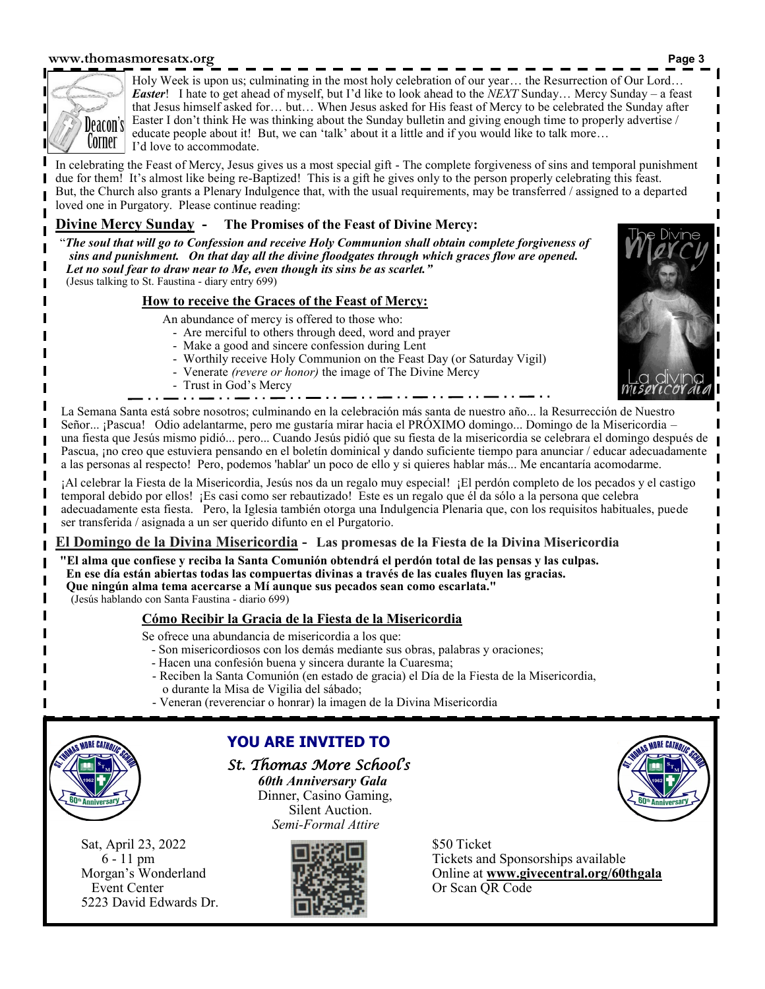#### **www.thomasmoresatx.org Page 3**



Holy Week is upon us; culminating in the most holy celebration of our year… the Resurrection of Our Lord… *Easter*! I hate to get ahead of myself, but I'd like to look ahead to the *NEXT* Sunday… Mercy Sunday – a feast that Jesus himself asked for… but… When Jesus asked for His feast of Mercy to be celebrated the Sunday after Easter I don't think He was thinking about the Sunday bulletin and giving enough time to properly advertise / educate people about it! But, we can 'talk' about it a little and if you would like to talk more… I'd love to accommodate.

In celebrating the Feast of Mercy, Jesus gives us a most special gift - The complete forgiveness of sins and temporal punishment due for them! It's almost like being re-Baptized! This is a gift he gives only to the person properly celebrating this feast. But, the Church also grants a Plenary Indulgence that, with the usual requirements, may be transferred / assigned to a departed loved one in Purgatory. Please continue reading:

### **Divine Mercy Sunday - The Promises of the Feast of Divine Mercy:**

"*The soul that will go to Confession and receive Holy Communion shall obtain complete forgiveness of sins and punishment. On that day all the divine floodgates through which graces flow are opened. Let no soul fear to draw near to Me, even though its sins be as scarlet."* (Jesus talking to St. Faustina - diary entry 699)

#### **How to receive the Graces of the Feast of Mercy:**

- An abundance of mercy is offered to those who:
	- Are merciful to others through deed, word and prayer
	- Make a good and sincere confession during Lent
	- Worthily receive Holy Communion on the Feast Day (or Saturday Vigil)
	- Venerate *(revere or honor)* the image of The Divine Mercy
	- Trust in God's Mercy



La Semana Santa está sobre nosotros; culminando en la celebración más santa de nuestro año... la Resurrección de Nuestro Señor... ¡Pascua! Odio adelantarme, pero me gustaría mirar hacia el PRÓXIMO domingo... Domingo de la Misericordia – una fiesta que Jesús mismo pidió... pero... Cuando Jesús pidió que su fiesta de la misericordia se celebrara el domingo después de Pascua, ¡no creo que estuviera pensando en el boletín dominical y dando suficiente tiempo para anunciar / educar adecuadamente a las personas al respecto! Pero, podemos 'hablar' un poco de ello y si quieres hablar más... Me encantaría acomodarme.

¡Al celebrar la Fiesta de la Misericordia, Jesús nos da un regalo muy especial! ¡El perdón completo de los pecados y el castigo temporal debido por ellos! ¡Es casi como ser rebautizado! Este es un regalo que él da sólo a la persona que celebra adecuadamente esta fiesta. Pero, la Iglesia también otorga una Indulgencia Plenaria que, con los requisitos habituales, puede ser transferida / asignada a un ser querido difunto en el Purgatorio.

# **El Domingo de la Divina Misericordia - Las promesas de la Fiesta de la Divina Misericordia**

**"El alma que confiese y reciba la Santa Comunión obtendrá el perdón total de las pensas y las culpas. En ese día están abiertas todas las compuertas divinas a través de las cuales fluyen las gracias. Que ningún alma tema acercarse a Mí aunque sus pecados sean como escarlata."** 

(Jesús hablando con Santa Faustina - diario 699)

# **Cómo Recibir la Gracia de la Fiesta de la Misericordia**

- Se ofrece una abundancia de misericordia a los que:
	- Son misericordiosos con los demás mediante sus obras, palabras y oraciones;
	- Hacen una confesión buena y sincera durante la Cuaresma;
	- Reciben la Santa Comunión (en estado de gracia) el Día de la Fiesta de la Misericordia, o durante la Misa de Vigilia del sábado;
	- Veneran (reverenciar o honrar) la imagen de la Divina Misericordia



5223 David Edwards Dr.

**YOU ARE INVITED TO**

# *St. Thomas More School's*

*60th Anniversary Gala* Dinner, Casino Gaming, Silent Auction. *Semi-Formal Attire*



6 - 11 pm Tickets and Sponsorships available Morgan's Wonderland Online at **www.givecentral.org/60thgala** Event Center **Center Center Or Scan QR Code**